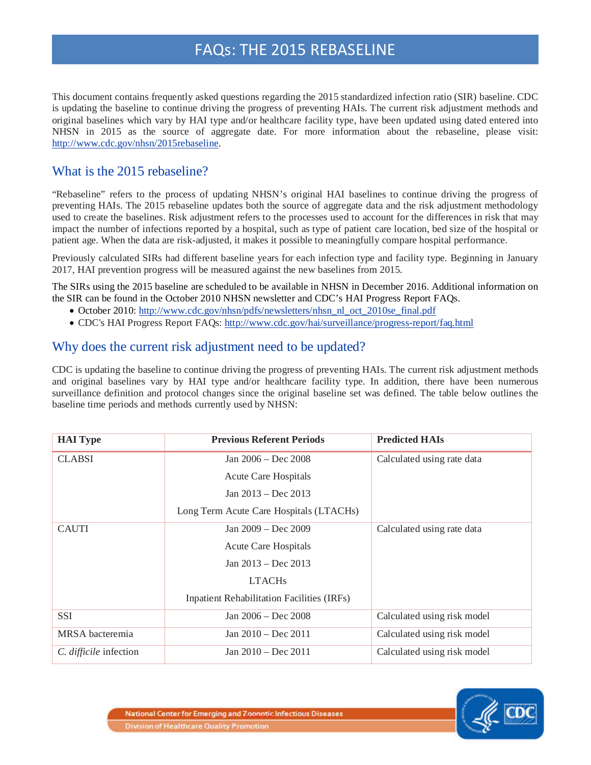# FAQs: THE 2015 REBASELINE

This document contains frequently asked questions regarding the 2015 standardized infection ratio (SIR) baseline. CDC is updating the baseline to continue driving the progress of preventing HAIs. The current risk adjustment methods and original baselines which vary by HAI type and/or healthcare facility type, have been updated using dated entered into NHSN in 2015 as the source of aggregate date. For more information about the rebaseline, please visit: [http://www.cdc.gov/nhsn/2015rebaseline.](http://www.cdc.gov/nhsn/2015rebaseline)

### What is the 2015 rebaseline?

"Rebaseline" refers to the process of updating NHSN's original HAI baselines to continue driving the progress of preventing HAIs. The 2015 rebaseline updates both the source of aggregate data and the risk adjustment methodology used to create the baselines. Risk adjustment refers to the processes used to account for the differences in risk that may impact the number of infections reported by a hospital, such as type of patient care location, bed size of the hospital or patient age. When the data are risk-adjusted, it makes it possible to meaningfully compare hospital performance.

Previously calculated SIRs had different baseline years for each infection type and facility type. Beginning in January 2017, HAI prevention progress will be measured against the new baselines from 2015.

The SIRs using the 2015 baseline are scheduled to be available in NHSN in December 2016. Additional information on the SIR can be found in the October 2010 NHSN newsletter and CDC's HAI Progress Report FAQs.

- October 2010: [http://www.cdc.gov/nhsn/pdfs/newsletters/nhsn\\_nl\\_oct\\_2010se\\_final.pdf](http://www.cdc.gov/nhsn/pdfs/newsletters/nhsn_nl_oct_2010se_final.pdf)
- CDC's HAI Progress Report FAQs:<http://www.cdc.gov/hai/surveillance/progress-report/faq.html>

#### Why does the current risk adjustment need to be updated?

CDC is updating the baseline to continue driving the progress of preventing HAIs. The current risk adjustment methods and original baselines vary by HAI type and/or healthcare facility type. In addition, there have been numerous surveillance definition and protocol changes since the original baseline set was defined. The table below outlines the baseline time periods and methods currently used by NHSN:

| <b>HAI</b> Type        | <b>Previous Referent Periods</b>                  | <b>Predicted HAIs</b>       |  |
|------------------------|---------------------------------------------------|-----------------------------|--|
| <b>CLABSI</b>          | Jan 2006 – Dec 2008                               | Calculated using rate data  |  |
|                        | <b>Acute Care Hospitals</b>                       |                             |  |
|                        | Jan $2013 - Dec 2013$                             |                             |  |
|                        | Long Term Acute Care Hospitals (LTACHs)           |                             |  |
| <b>CAUTI</b>           | Jan $2009 - Dec 2009$                             | Calculated using rate data  |  |
|                        | <b>Acute Care Hospitals</b>                       |                             |  |
|                        | Jan $2013 - Dec 2013$                             |                             |  |
|                        | <b>LTACHs</b>                                     |                             |  |
|                        | <b>Inpatient Rehabilitation Facilities (IRFs)</b> |                             |  |
| <b>SSI</b>             | Jan 2006 – Dec 2008                               | Calculated using risk model |  |
| MRSA bacteremia        | Jan $2010 - Dec 2011$                             | Calculated using risk model |  |
| C. difficile infection | Jan $2010 - Dec 2011$                             | Calculated using risk model |  |